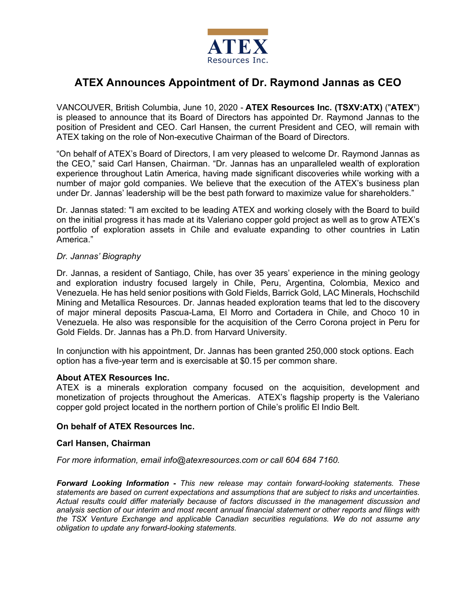

# **ATEX Announces Appointment of Dr. Raymond Jannas as CEO**

VANCOUVER, British Columbia, June 10, 2020 - **ATEX Resources Inc. (TSXV:ATX)** ("**ATEX**") is pleased to announce that its Board of Directors has appointed Dr. Raymond Jannas to the position of President and CEO. Carl Hansen, the current President and CEO, will remain with ATEX taking on the role of Non-executive Chairman of the Board of Directors.

"On behalf of ATEX's Board of Directors, I am very pleased to welcome Dr. Raymond Jannas as the CEO," said Carl Hansen, Chairman. "Dr. Jannas has an unparalleled wealth of exploration experience throughout Latin America, having made significant discoveries while working with a number of major gold companies. We believe that the execution of the ATEX's business plan under Dr. Jannas' leadership will be the best path forward to maximize value for shareholders."

Dr. Jannas stated: "I am excited to be leading ATEX and working closely with the Board to build on the initial progress it has made at its Valeriano copper gold project as well as to grow ATEX's portfolio of exploration assets in Chile and evaluate expanding to other countries in Latin America."

## *Dr. Jannas' Biography*

Dr. Jannas, a resident of Santiago, Chile, has over 35 years' experience in the mining geology and exploration industry focused largely in Chile, Peru, Argentina, Colombia, Mexico and Venezuela. He has held senior positions with Gold Fields, Barrick Gold, LAC Minerals, Hochschild Mining and Metallica Resources. Dr. Jannas headed exploration teams that led to the discovery of major mineral deposits Pascua-Lama, El Morro and Cortadera in Chile, and Choco 10 in Venezuela. He also was responsible for the acquisition of the Cerro Corona project in Peru for Gold Fields. Dr. Jannas has a Ph.D. from Harvard University.

In conjunction with his appointment, Dr. Jannas has been granted 250,000 stock options. Each option has a five-year term and is exercisable at \$0.15 per common share.

### **About ATEX Resources Inc.**

ATEX is a minerals exploration company focused on the acquisition, development and monetization of projects throughout the Americas. ATEX's flagship property is the Valeriano copper gold project located in the northern portion of Chile's prolific El Indio Belt.

### **On behalf of ATEX Resources Inc.**

### **Carl Hansen, Chairman**

*For more information, email info@atexresources.com or call 604 684 7160.*

*Forward Looking Information - This new release may contain forward-looking statements. These statements are based on current expectations and assumptions that are subject to risks and uncertainties. Actual results could differ materially because of factors discussed in the management discussion and analysis section of our interim and most recent annual financial statement or other reports and filings with the TSX Venture Exchange and applicable Canadian securities regulations. We do not assume any obligation to update any forward-looking statements.*